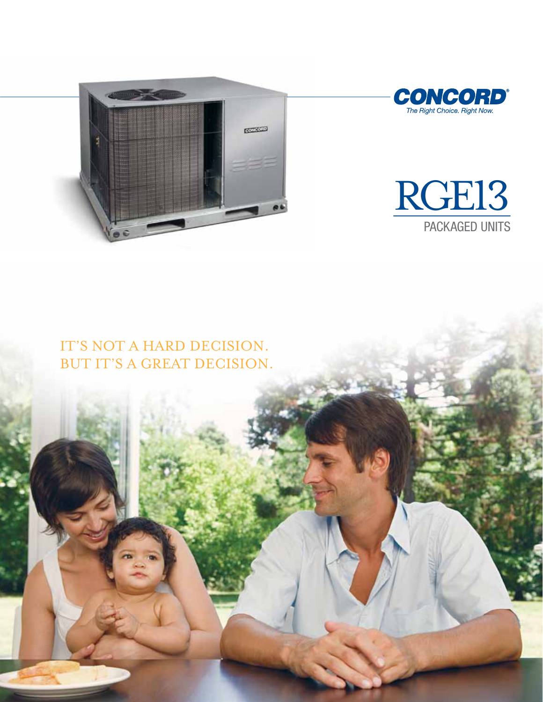





### IT'S NOT A HARD DECISION. BUT IT'S A GREAT DECISION.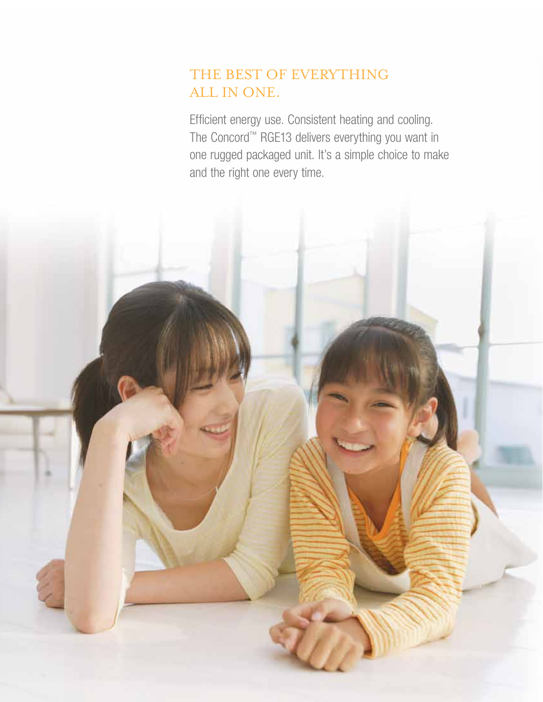# THE BEST OF EVERYTHING all in one.

Efficient energy use. Consistent heating and cooling. The Concord™ RGE13 delivers everything you want in one rugged packaged unit. It's a simple choice to make and the right one every time.

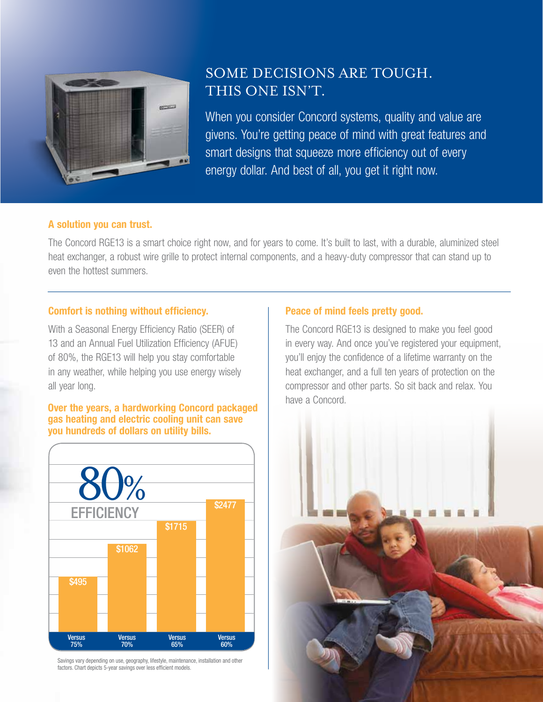

### Some decisions are tough. This one isn't.

When you consider Concord systems, quality and value are givens. You're getting peace of mind with great features and smart designs that squeeze more efficiency out of every energy dollar. And best of all, you get it right now.

#### A solution you can trust.

The Concord RGE13 is a smart choice right now, and for years to come. It's built to last, with a durable, aluminized steel heat exchanger, a robust wire grille to protect internal components, and a heavy-duty compressor that can stand up to even the hottest summers.

#### Comfort is nothing without efficiency.

With a Seasonal Energy Efficiency Ratio (SEER) of 13 and an Annual Fuel Utilization Efficiency (AFUE) of 80%, the RGE13 will help you stay comfortable in any weather, while helping you use energy wisely all year long.

### **Over the years, a hardworking Concord packaged** have a Concord. gas heating and electric cooling unit can save you hundreds of dollars on utility bills.



Savings vary depending on use, geography, lifestyle, maintenance, installation and other factors. Chart depicts 5-year savings over less efficient models.

#### Peace of mind feels pretty good.

The Concord RGE13 is designed to make you feel good in every way. And once you've registered your equipment, you'll enjoy the confidence of a lifetime warranty on the heat exchanger, and a full ten years of protection on the compressor and other parts. So sit back and relax. You